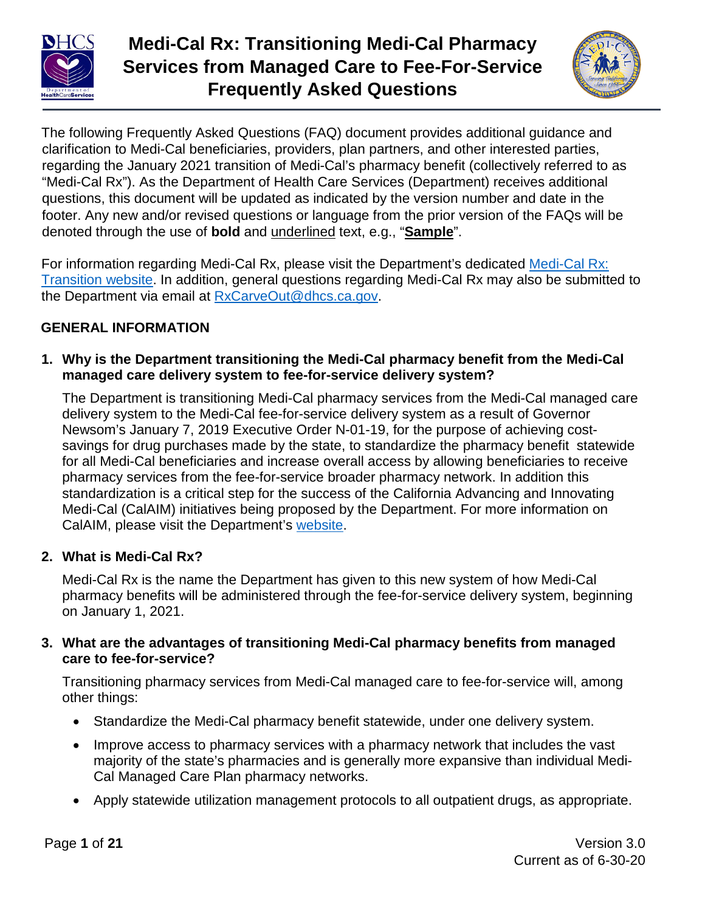

# **Medi-Cal Rx: Transitioning Medi-Cal Pharmacy Services from Managed Care to Fee-For-Service Frequently Asked Questions**



The following Frequently Asked Questions (FAQ) document provides additional guidance and clarification to Medi-Cal beneficiaries, providers, plan partners, and other interested parties, regarding the January 2021 transition of Medi-Cal's pharmacy benefit (collectively referred to as "Medi-Cal Rx"). As the Department of Health Care Services (Department) receives additional questions, this document will be updated as indicated by the version number and date in the footer. Any new and/or revised questions or language from the prior version of the FAQs will be denoted through the use of **bold** and underlined text, e.g., "**Sample**".

For information regarding Medi-Cal Rx, please visit the Department's dedicated [Medi-Cal Rx:](https://www.dhcs.ca.gov/provgovpart/pharmacy/Phttps:/www.dhcs.ca.gov/provgovpart/pharmacy/Pages/Medi-CalRX.aspxages/Medi-CalRX.aspx) [Transition website](https://www.dhcs.ca.gov/provgovpart/pharmacy/Phttps:/www.dhcs.ca.gov/provgovpart/pharmacy/Pages/Medi-CalRX.aspxages/Medi-CalRX.aspx). In addition, general questions regarding Medi-Cal Rx may also be submitted to the Department via email at [RxCarveOut@dhcs.ca.gov.](mailto:rxcarveout@dhcs.ca.gov)

# **GENERAL INFORMATION**

**1. Why is the Department transitioning the Medi-Cal pharmacy benefit from the Medi-Cal managed care delivery system to fee-for-service delivery system?**

The Department is transitioning Medi-Cal pharmacy services from the Medi-Cal managed care delivery system to the Medi-Cal fee-for-service delivery system as a result of Governor Newsom's January 7, 2019 Executive Order N-01-19, for the purpose of achieving costsavings for drug purchases made by the state, to standardize the pharmacy benefit statewide for all Medi-Cal beneficiaries and increase overall access by allowing beneficiaries to receive pharmacy services from the fee-for-service broader pharmacy network. In addition this standardization is a critical step for the success of the California Advancing and Innovating Medi-Cal (CalAIM) initiatives being proposed by the Department. For more information on CalAIM, please visit the Department's [website.](https://www.dhcs.ca.gov/calaim)

# **2. What is Medi-Cal Rx?**

Medi-Cal Rx is the name the Department has given to this new system of how Medi-Cal pharmacy benefits will be administered through the fee-for-service delivery system, beginning on January 1, 2021.

#### **3. What are the advantages of transitioning Medi-Cal pharmacy benefits from managed care to fee-for-service?**

Transitioning pharmacy services from Medi-Cal managed care to fee-for-service will, among other things:

- Standardize the Medi-Cal pharmacy benefit statewide, under one delivery system.
- Improve access to pharmacy services with a pharmacy network that includes the vast majority of the state's pharmacies and is generally more expansive than individual Medi-Cal Managed Care Plan pharmacy networks.
- Apply statewide utilization management protocols to all outpatient drugs, as appropriate.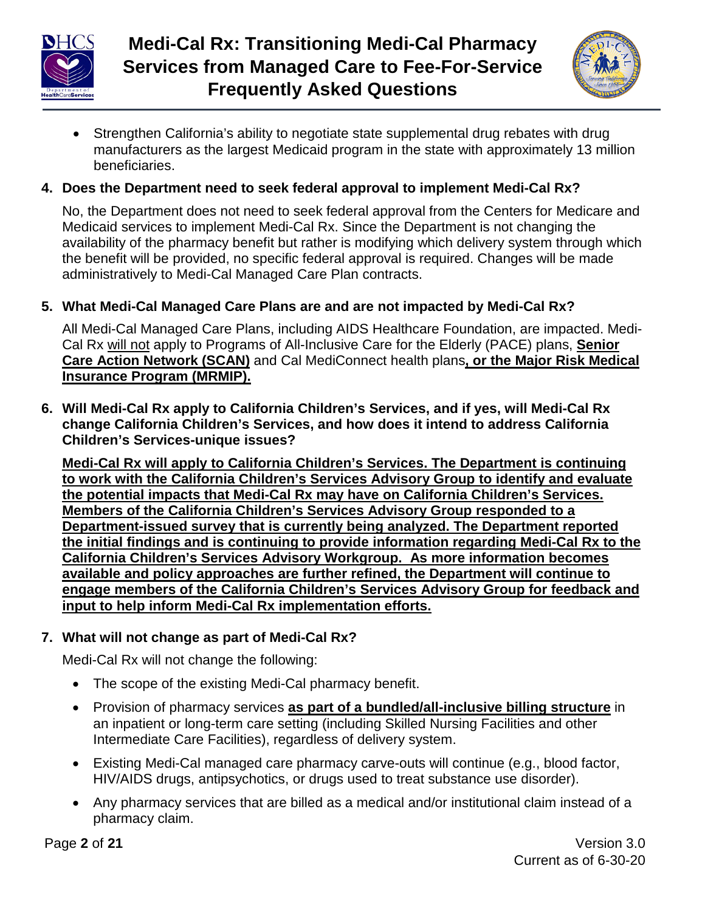



• Strengthen California's ability to negotiate state supplemental drug rebates with drug manufacturers as the largest Medicaid program in the state with approximately 13 million beneficiaries.

# **4. Does the Department need to seek federal approval to implement Medi-Cal Rx?**

No, the Department does not need to seek federal approval from the Centers for Medicare and Medicaid services to implement Medi-Cal Rx. Since the Department is not changing the availability of the pharmacy benefit but rather is modifying which delivery system through which the benefit will be provided, no specific federal approval is required. Changes will be made administratively to Medi-Cal Managed Care Plan contracts.

#### **5. What Medi-Cal Managed Care Plans are and are not impacted by Medi-Cal Rx?**

All Medi-Cal Managed Care Plans, including AIDS Healthcare Foundation, are impacted. Medi-Cal Rx will not apply to Programs of All-Inclusive Care for the Elderly (PACE) plans, Senior Care Action Network (SCAN) and Cal MediConnect health plans, or the Major Risk Medical **Insurance Program (MRMIP).** 

**6. Will Medi-Cal Rx apply to California Children's Services, and if yes, will Medi-Cal Rx change California Children's Services, and how does it intend to address California Children's Services-unique issues?**

**Medi-Cal Rx will apply to California Children's Services. The Department is continuing Medi-Cal Rx will apply to California Children's Services. The Department is continuing** to work with the California Children's Services Advisory Group to identify and evaluate the potential impacts that Medi-Cal Rx may have on California Children's Services. **Members of the California Children's Services Advisory Group responded to a** Department-issued survey that is currently being analyzed. The Department reported the initial findings and is continuing to provide information regarding Medi-Cal Rx to the **California Children's Services Advisory Workgroup. As more information becomes available and policy approaches are further refined, the Department will continue to engage members of the California Children's Services Advisory Group for feedback and input to help inform Medi-Cal Rx implementation efforts.** Grandble and policy approaches are numer reimed, the Department will continue

#### **7. What will not change as part of Medi-Cal Rx?**

Medi-Cal Rx will not change the following:

- The scope of the existing Medi-Cal pharmacy benefit.
- Provision of pharmacy services **as part of a bundled/all-inclusive billing structure** in an inpatient or long-term care setting (including Skilled Nursing Facilities and other Intermediate Care Facilities), regardless of delivery system.
- Existing Medi-Cal managed care pharmacy carve-outs will continue (e.g., blood factor, HIV/AIDS drugs, antipsychotics, or drugs used to treat substance use disorder).
- Any pharmacy services that are billed as a medical and/or institutional claim instead of a pharmacy claim.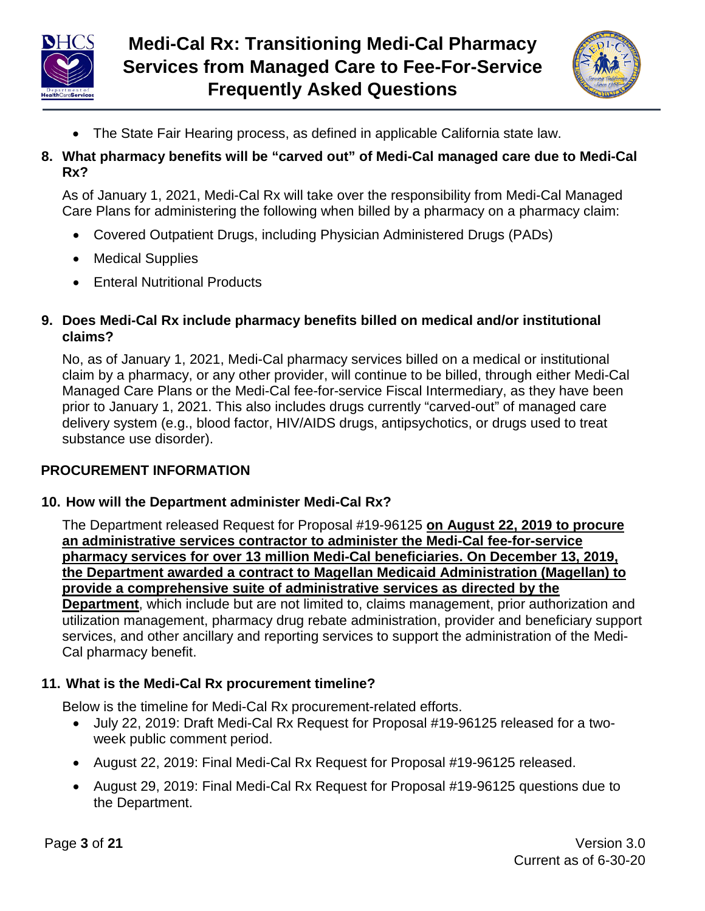



- The State Fair Hearing process, as defined in applicable California state law.
- **8. What pharmacy benefits will be "carved out" of Medi-Cal managed care due to Medi-Cal Rx?**

As of January 1, 2021, Medi-Cal Rx will take over the responsibility from Medi-Cal Managed Care Plans for administering the following when billed by a pharmacy on a pharmacy claim:

- Covered Outpatient Drugs, including Physician Administered Drugs (PADs)
- Medical Supplies
- Enteral Nutritional Products

## **9. Does Medi-Cal Rx include pharmacy benefits billed on medical and/or institutional claims?**

No, as of January 1, 2021, Medi-Cal pharmacy services billed on a medical or institutional claim by a pharmacy, or any other provider, will continue to be billed, through either Medi-Cal Managed Care Plans or the Medi-Cal fee-for-service Fiscal Intermediary, as they have been prior to January 1, 2021. This also includes drugs currently "carved-out" of managed care delivery system (e.g., blood factor, HIV/AIDS drugs, antipsychotics, or drugs used to treat substance use disorder).

## **PROCUREMENT INFORMATION**

## **10. How will the Department administer Medi-Cal Rx?**

The Department released Request for Proposal #19-96125 **on August 22, 2019 to procure** an administrative services contractor to administer the Medi-Cal fee-for-service pharmacy services for over 13 million Medi-Cal beneficiaries. On December 13, 2019, the Department awarded a contract to Magellan Medicaid Administration (Magellan) to provide a comprehensive suite of administrative services as directed by the

Department, which include but are not limited to, claims management, prior authorization and utilization management, pharmacy drug rebate administration, provider and beneficiary support services, and other ancillary and reporting services to support the administration of the Medi-Cal pharmacy benefit.

## **11. What is the Medi-Cal Rx procurement timeline?**

Below is the timeline for Medi-Cal Rx procurement-related efforts.

- July 22, 2019: Draft Medi-Cal Rx Request for Proposal #19-96125 released for a twoweek public comment period.
- August 22, 2019: Final Medi-Cal Rx Request for Proposal #19-96125 released.
- August 29, 2019: Final Medi-Cal Rx Request for Proposal #19-96125 questions due to the Department.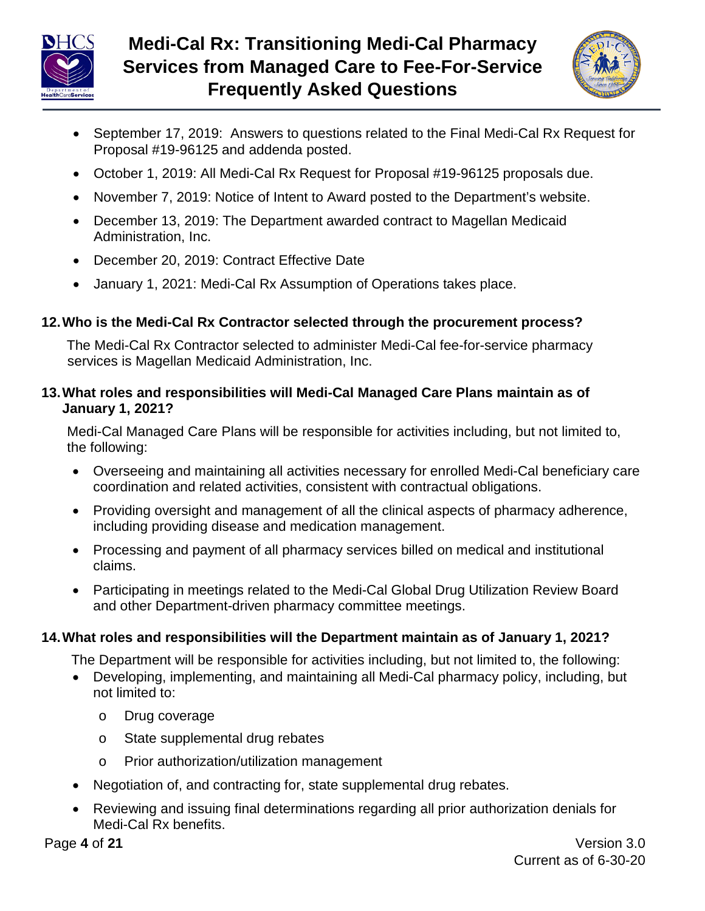



- September 17, 2019: Answers to questions related to the Final Medi-Cal Rx Request for Proposal #19-96125 and addenda posted.
- October 1, 2019: All Medi-Cal Rx Request for Proposal #19-96125 proposals due.
- November 7, 2019: Notice of Intent to Award posted to the Department's website.
- December 13, 2019: The Department awarded contract to Magellan Medicaid Administration, Inc.
- December 20, 2019: Contract Effective Date
- January 1, 2021: Medi-Cal Rx Assumption of Operations takes place.

# **12.Who is the Medi-Cal Rx Contractor selected through the procurement process?**

The Medi-Cal Rx Contractor selected to administer Medi-Cal fee-for-service pharmacy services is Magellan Medicaid Administration, Inc.

## **13.What roles and responsibilities will Medi-Cal Managed Care Plans maintain as of January 1, 2021?**

Medi-Cal Managed Care Plans will be responsible for activities including, but not limited to, the following:

- Overseeing and maintaining all activities necessary for enrolled Medi-Cal beneficiary care coordination and related activities, consistent with contractual obligations.
- Providing oversight and management of all the clinical aspects of pharmacy adherence, including providing disease and medication management.
- Processing and payment of all pharmacy services billed on medical and institutional claims.
- Participating in meetings related to the Medi-Cal Global Drug Utilization Review Board and other Department-driven pharmacy committee meetings.

# **14.What roles and responsibilities will the Department maintain as of January 1, 2021?**

The Department will be responsible for activities including, but not limited to, the following:

- Developing, implementing, and maintaining all Medi-Cal pharmacy policy, including, but not limited to:
	- o Drug coverage
	- o State supplemental drug rebates
	- o Prior authorization/utilization management
- Negotiation of, and contracting for, state supplemental drug rebates.
- Reviewing and issuing final determinations regarding all prior authorization denials for Medi-Cal Rx benefits.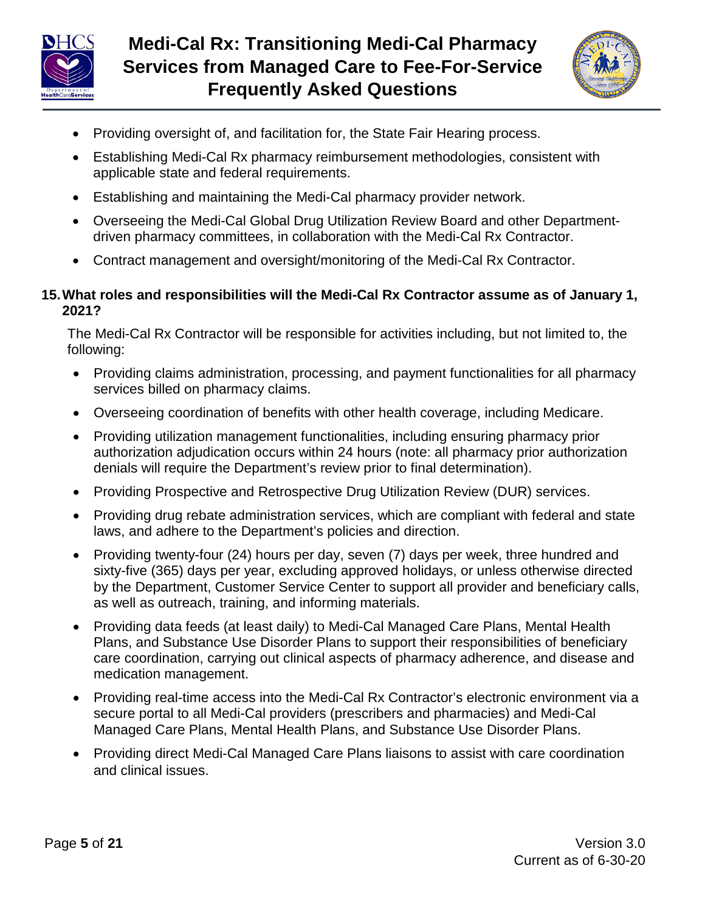



- Providing oversight of, and facilitation for, the State Fair Hearing process.
- Establishing Medi-Cal Rx pharmacy reimbursement methodologies, consistent with applicable state and federal requirements.
- Establishing and maintaining the Medi-Cal pharmacy provider network.
- Overseeing the Medi-Cal Global Drug Utilization Review Board and other Departmentdriven pharmacy committees, in collaboration with the Medi-Cal Rx Contractor.
- Contract management and oversight/monitoring of the Medi-Cal Rx Contractor.

#### **15.What roles and responsibilities will the Medi-Cal Rx Contractor assume as of January 1, 2021?**

The Medi-Cal Rx Contractor will be responsible for activities including, but not limited to, the following:

- Providing claims administration, processing, and payment functionalities for all pharmacy services billed on pharmacy claims.
- Overseeing coordination of benefits with other health coverage, including Medicare.
- Providing utilization management functionalities, including ensuring pharmacy prior authorization adjudication occurs within 24 hours (note: all pharmacy prior authorization denials will require the Department's review prior to final determination).
- Providing Prospective and Retrospective Drug Utilization Review (DUR) services.
- Providing drug rebate administration services, which are compliant with federal and state laws, and adhere to the Department's policies and direction.
- Providing twenty-four (24) hours per day, seven (7) days per week, three hundred and sixty-five (365) days per year, excluding approved holidays, or unless otherwise directed by the Department, Customer Service Center to support all provider and beneficiary calls, as well as outreach, training, and informing materials.
- Providing data feeds (at least daily) to Medi-Cal Managed Care Plans, Mental Health Plans, and Substance Use Disorder Plans to support their responsibilities of beneficiary care coordination, carrying out clinical aspects of pharmacy adherence, and disease and medication management.
- Providing real-time access into the Medi-Cal Rx Contractor's electronic environment via a secure portal to all Medi-Cal providers (prescribers and pharmacies) and Medi-Cal Managed Care Plans, Mental Health Plans, and Substance Use Disorder Plans.
- Providing direct Medi-Cal Managed Care Plans liaisons to assist with care coordination and clinical issues.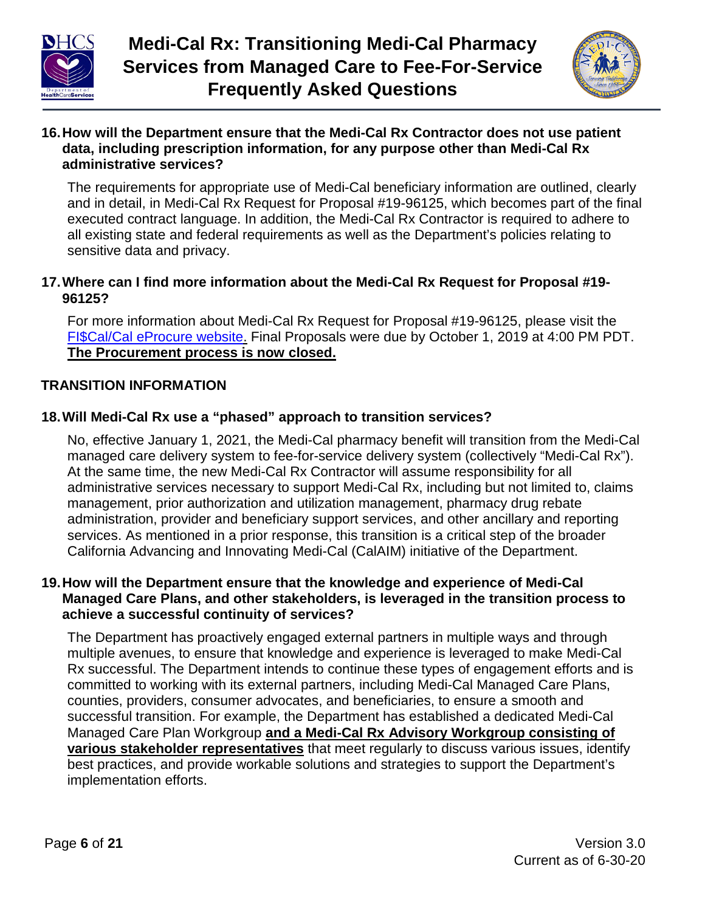



#### **16.How will the Department ensure that the Medi-Cal Rx Contractor does not use patient data, including prescription information, for any purpose other than Medi-Cal Rx administrative services?**

The requirements for appropriate use of Medi-Cal beneficiary information are outlined, clearly and in detail, in Medi-Cal Rx Request for Proposal #19-96125, which becomes part of the final executed contract language. In addition, the Medi-Cal Rx Contractor is required to adhere to all existing state and federal requirements as well as the Department's policies relating to sensitive data and privacy.

#### **17.Where can I find more information about the Medi-Cal Rx Request for Proposal #19- 96125?**

For more information about Medi-Cal Rx Request for Proposal #19-96125, please visit the FI\$Cal/Cal eProcure [website. Final Proposals were due](https://caleprocure.ca.gov/event/4260/19-96125) by October 1, 2019 at 4:00 PM PDT. **The Procurement process is now closed.** 

# **TRANSITION INFORMATION**

# **18.Will Medi-Cal Rx use a "phased" approach to transition services?**

No, effective January 1, 2021, the Medi-Cal pharmacy benefit will transition from the Medi-Cal managed care delivery system to fee-for-service delivery system (collectively "Medi-Cal Rx"). At the same time, the new Medi-Cal Rx Contractor will assume responsibility for all administrative services necessary to support Medi-Cal Rx, including but not limited to, claims management, prior authorization and utilization management, pharmacy drug rebate administration, provider and beneficiary support services, and other ancillary and reporting services. As mentioned in a prior response, this transition is a critical step of the broader California Advancing and Innovating Medi-Cal (CalAIM) initiative of the Department.

#### **19.How will the Department ensure that the knowledge and experience of Medi-Cal Managed Care Plans, and other stakeholders, is leveraged in the transition process to achieve a successful continuity of services?**

The Department has proactively engaged external partners in multiple ways and through multiple avenues, to ensure that knowledge and experience is leveraged to make Medi-Cal Rx successful. The Department intends to continue these types of engagement efforts and is committed to working with its external partners, including Medi-Cal Managed Care Plans, counties, providers, consumer advocates, and beneficiaries, to ensure a smooth and successful transition. For example, the Department has established a dedicated Medi-Cal Managed Care Plan Workgroup and a Medi-Cal Rx Advisory Workgroup consisting of **various stakeholder representatives** that meet regularly to discuss various issues, identify **Various stakeholder representatives** that meet regularly to discuss various issues, identifiest best practices, and provide workable solutions and strategies to support the Department's implementation efforts. suppression, and provide workable bolding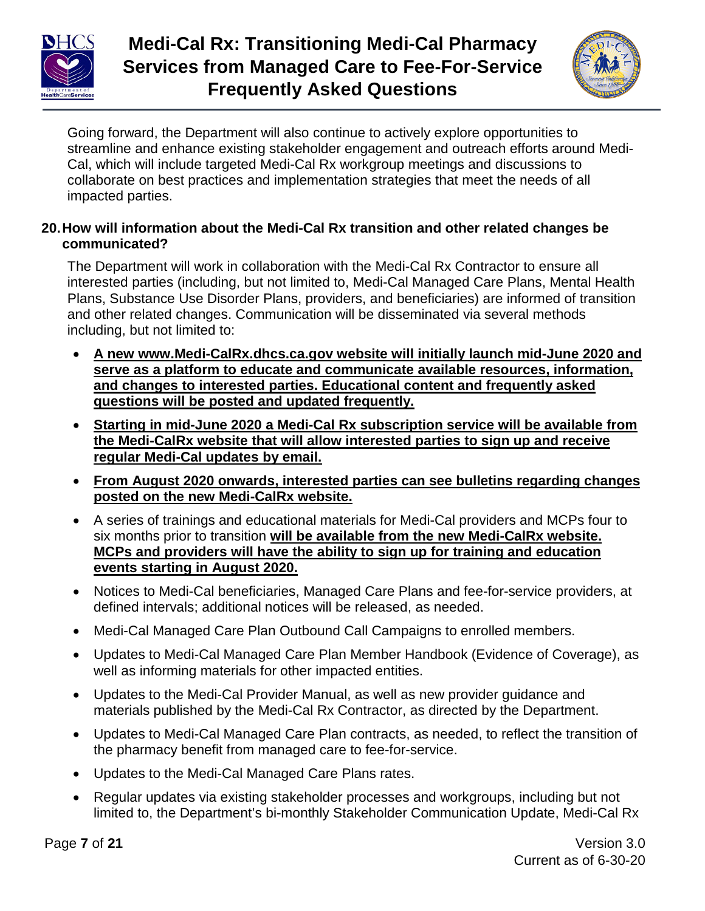



Going forward, the Department will also continue to actively explore opportunities to streamline and enhance existing stakeholder engagement and outreach efforts around Medi-Cal, which will include targeted Medi-Cal Rx workgroup meetings and discussions to collaborate on best practices and implementation strategies that meet the needs of all impacted parties.

#### **20.How will information about the Medi-Cal Rx transition and other related changes be communicated?**

The Department will work in collaboration with the Medi-Cal Rx Contractor to ensure all interested parties (including, but not limited to, Medi-Cal Managed Care Plans, Mental Health Plans, Substance Use Disorder Plans, providers, and beneficiaries) are informed of transition and other related changes. Communication will be disseminated via several methods including, but not limited to:

- **A new www.Medi-CalRx.dhcs.ca.gov website will initially launch mid-June 2020 and serve as a platform to educate and communicate available resources, information, and changes to interested parties. Educational content and frequently asked questions will be posted and updated frequently.**
- **Starting in mid-June 2020 a Medi-Cal Rx subscription service will be available from the Medi-CalRx website that will allow interested parties to sign up and receive regular Medi-Cal updates by email.**
- **From August 2020 onwards, interested parties can see bulletins regarding changes posted on the new Medi-CalRx website.**
- A series of trainings and educational materials for Medi-Cal providers and MCPs four to six months prior to transition **will be available from the new Medi-CalRx website. MCPs and providers will have the ability to sign up for training and education events starting in August 2020.**
- Notices to Medi-Cal beneficiaries, Managed Care Plans and fee-for-service providers, at defined intervals; additional notices will be released, as needed.
- Medi-Cal Managed Care Plan Outbound Call Campaigns to enrolled members.
- Updates to Medi-Cal Managed Care Plan Member Handbook (Evidence of Coverage), as well as informing materials for other impacted entities.
- Updates to the Medi-Cal Provider Manual, as well as new provider guidance and materials published by the Medi-Cal Rx Contractor, as directed by the Department.
- Updates to Medi-Cal Managed Care Plan contracts, as needed, to reflect the transition of the pharmacy benefit from managed care to fee-for-service.
- Updates to the Medi-Cal Managed Care Plans rates.
- Regular updates via existing stakeholder processes and workgroups, including but not limited to, the Department's bi-monthly Stakeholder Communication Update, Medi-Cal Rx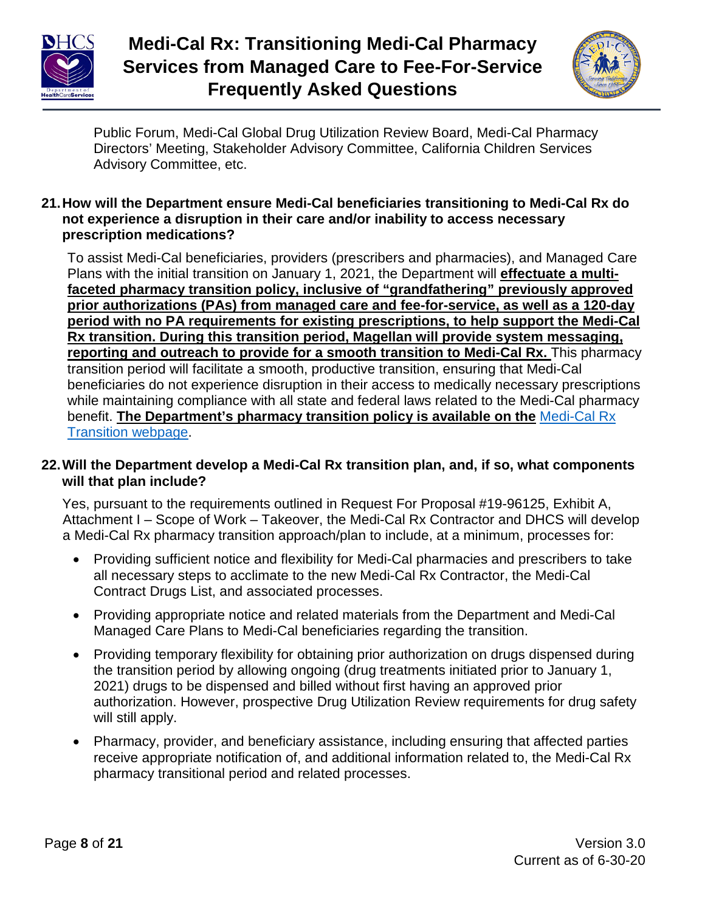



Public Forum, Medi-Cal Global Drug Utilization Review Board, Medi-Cal Pharmacy Directors' Meeting, Stakeholder Advisory Committee, California Children Services Advisory Committee, etc.

#### **21.How will the Department ensure Medi-Cal beneficiaries transitioning to Medi-Cal Rx do not experience a disruption in their care and/or inability to access necessary prescription medications?**

To assist Medi-Cal beneficiaries, providers (prescribers and pharmacies), and Managed Care To assist Medi-Cal beneficiaries, providers (prescribers and pharmacies), and Managed Care Plans with the initial Plans with the initial transition on January 1, 2021, the Department will *effectuate a multi*faceted pharmacy transition policy, inclusive of "grandfathering" previously approved prior authorizations (PAs) from managed care and fee-for-service, as well as a 120-day period with no PA requirements for existing prescriptions, to help support the Medi-Cal **Rx transition. During this transition period, Magellan will provide system messaging, reporting and outreach to provide for a smooth transition to Medi-Cal Rx.** This pharmacy transition period will facilitate a smooth, productive transition, ensuring that Medi-Cal beneficiaries do not experience disruption in their access to medically necessary prescriptions beneficiaries do not experience disruption in their access to medically necessary prescriptions while while maintaining compliance with all state and federal laws related to the Medi-Cal pharmacy man mannia mang semphanese man an elate and reasonal ratio related to the medi-Cal Priamite benefit. The Department's pharmacy transition policy is available on the [Medi-Cal Rx](https://www.dhcs.ca.gov/provgovpart/pharmacy/Pages/Medi-CalRX.aspx) **[Transition webpage.](https://www.dhcs.ca.gov/provgovpart/pharmacy/Pages/Medi-CalRX.aspx)** 

#### **22.Will the Department develop a Medi-Cal Rx transition plan, and, if so, what components will that plan include?**

Yes, pursuant to the requirements outlined in Request For Proposal #19-96125, Exhibit A, Attachment I – Scope of Work – Takeover, the Medi-Cal Rx Contractor and DHCS will develop a Medi-Cal Rx pharmacy transition approach/plan to include, at a minimum, processes for:

- Providing sufficient notice and flexibility for Medi-Cal pharmacies and prescribers to take all necessary steps to acclimate to the new Medi-Cal Rx Contractor, the Medi-Cal Contract Drugs List, and associated processes.
- Providing appropriate notice and related materials from the Department and Medi-Cal Managed Care Plans to Medi-Cal beneficiaries regarding the transition.
- Providing temporary flexibility for obtaining prior authorization on drugs dispensed during the transition period by allowing ongoing (drug treatments initiated prior to January 1, 2021) drugs to be dispensed and billed without first having an approved prior authorization. However, prospective Drug Utilization Review requirements for drug safety will still apply.
- Pharmacy, provider, and beneficiary assistance, including ensuring that affected parties receive appropriate notification of, and additional information related to, the Medi-Cal Rx pharmacy transitional period and related processes.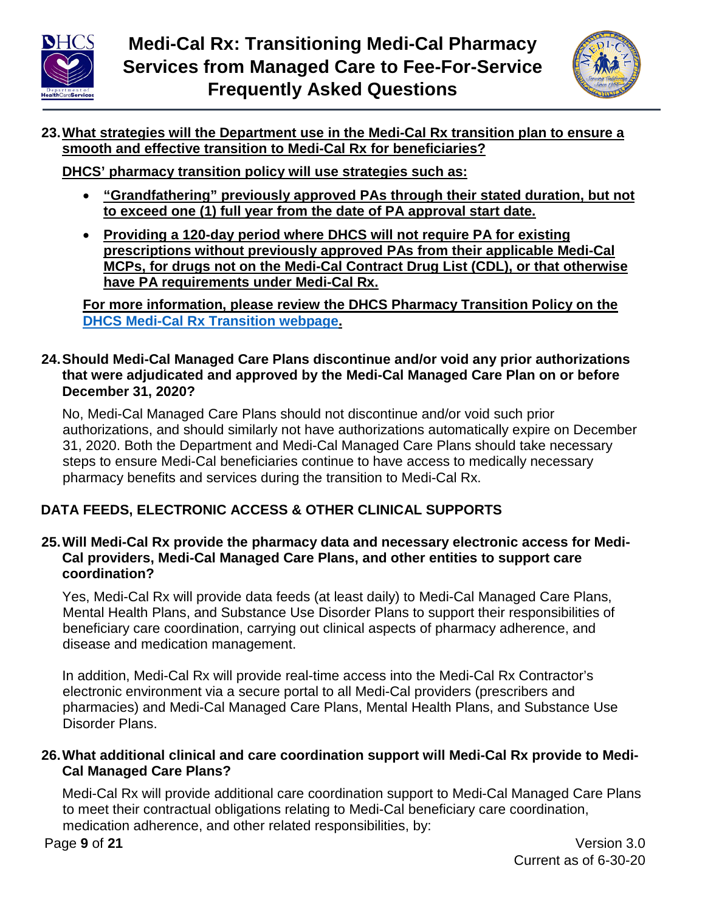



# **23.What strategies will the Department use in the Medi-Cal Rx transition plan to ensure a smooth and effective transition to Medi-Cal Rx for beneficiaries?**

**DHCS' pharmacy transition policy will use strategies such as:**

- **"Grandfathering" previously approved PAs through their stated duration, but not to exceed one (1) full year from the date of PA approval start date.**
- **Providing a 120-day period where DHCS will not require PA for existing prescriptions without previously approved PAs from their applicable Medi-Cal MCPs, for drugs not on the Medi-Cal Contract Drug List (CDL), or that otherwise have PA requirements under Medi-Cal Rx.**

**For more information, please review the DHCS Pharmacy Transition Policy on the [DHCS Medi-Cal Rx Transition webpage.](https://www.dhcs.ca.gov/provgovpart/pharmacy/Pages/Medi-CalRX.aspx)**

#### **24.Should Medi-Cal Managed Care Plans discontinue and/or void any prior authorizations that were adjudicated and approved by the Medi-Cal Managed Care Plan on or before December 31, 2020?**

No, Medi-Cal Managed Care Plans should not discontinue and/or void such prior authorizations, and should similarly not have authorizations automatically expire on December 31, 2020. Both the Department and Medi-Cal Managed Care Plans should take necessary steps to ensure Medi-Cal beneficiaries continue to have access to medically necessary pharmacy benefits and services during the transition to Medi-Cal Rx.

# **DATA FEEDS, ELECTRONIC ACCESS & OTHER CLINICAL SUPPORTS**

#### **25.Will Medi-Cal Rx provide the pharmacy data and necessary electronic access for Medi-Cal providers, Medi-Cal Managed Care Plans, and other entities to support care coordination?**

Yes, Medi-Cal Rx will provide data feeds (at least daily) to Medi-Cal Managed Care Plans, Mental Health Plans, and Substance Use Disorder Plans to support their responsibilities of beneficiary care coordination, carrying out clinical aspects of pharmacy adherence, and disease and medication management.

In addition, Medi-Cal Rx will provide real-time access into the Medi-Cal Rx Contractor's electronic environment via a secure portal to all Medi-Cal providers (prescribers and pharmacies) and Medi-Cal Managed Care Plans, Mental Health Plans, and Substance Use Disorder Plans.

#### **26.What additional clinical and care coordination support will Medi-Cal Rx provide to Medi-Cal Managed Care Plans?**

Medi-Cal Rx will provide additional care coordination support to Medi-Cal Managed Care Plans to meet their contractual obligations relating to Medi-Cal beneficiary care coordination, medication adherence, and other related responsibilities, by: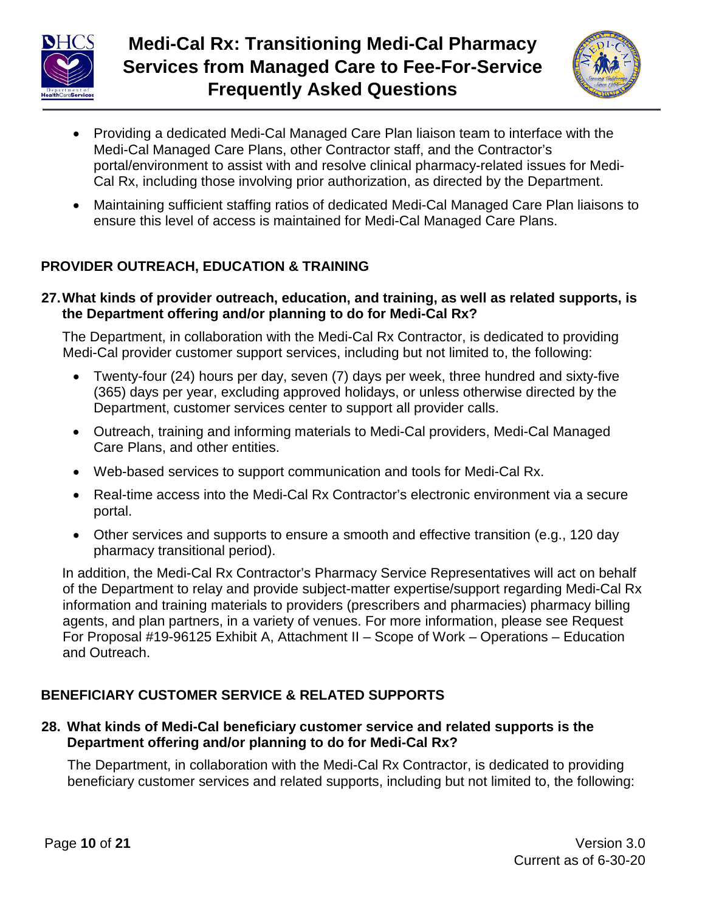



- Providing a dedicated Medi-Cal Managed Care Plan liaison team to interface with the Medi-Cal Managed Care Plans, other Contractor staff, and the Contractor's portal/environment to assist with and resolve clinical pharmacy-related issues for Medi-Cal Rx, including those involving prior authorization, as directed by the Department.
- Maintaining sufficient staffing ratios of dedicated Medi-Cal Managed Care Plan liaisons to ensure this level of access is maintained for Medi-Cal Managed Care Plans.

# **PROVIDER OUTREACH, EDUCATION & TRAINING**

**27.What kinds of provider outreach, education, and training, as well as related supports, is the Department offering and/or planning to do for Medi-Cal Rx?**

The Department, in collaboration with the Medi-Cal Rx Contractor, is dedicated to providing Medi-Cal provider customer support services, including but not limited to, the following:

- Twenty-four (24) hours per day, seven (7) days per week, three hundred and sixty-five (365) days per year, excluding approved holidays, or unless otherwise directed by the Department, customer services center to support all provider calls.
- Outreach, training and informing materials to Medi-Cal providers, Medi-Cal Managed Care Plans, and other entities.
- Web-based services to support communication and tools for Medi-Cal Rx.
- Real-time access into the Medi-Cal Rx Contractor's electronic environment via a secure portal.
- Other services and supports to ensure a smooth and effective transition (e.g., 120 day pharmacy transitional period).

In addition, the Medi-Cal Rx Contractor's Pharmacy Service Representatives will act on behalf of the Department to relay and provide subject-matter expertise/support regarding Medi-Cal Rx information and training materials to providers (prescribers and pharmacies) pharmacy billing agents, and plan partners, in a variety of venues. For more information, please see Request For Proposal #19-96125 Exhibit A, Attachment II – Scope of Work – Operations – Education and Outreach.

# **BENEFICIARY CUSTOMER SERVICE & RELATED SUPPORTS**

#### **28. What kinds of Medi-Cal beneficiary customer service and related supports is the Department offering and/or planning to do for Medi-Cal Rx?**

The Department, in collaboration with the Medi-Cal Rx Contractor, is dedicated to providing beneficiary customer services and related supports, including but not limited to, the following: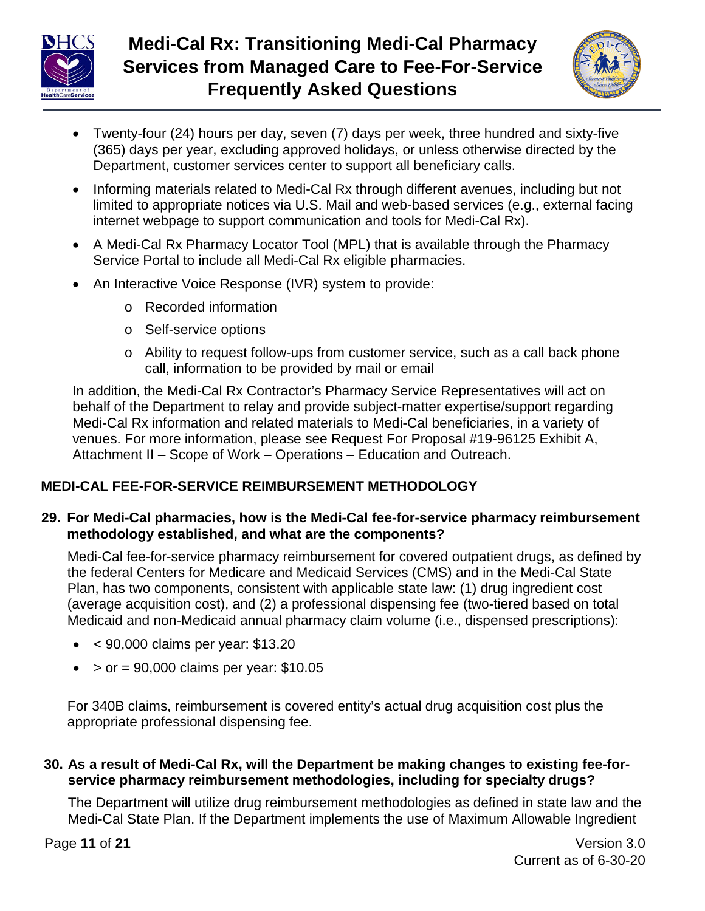



- Twenty-four (24) hours per day, seven (7) days per week, three hundred and sixty-five (365) days per year, excluding approved holidays, or unless otherwise directed by the Department, customer services center to support all beneficiary calls.
- Informing materials related to Medi-Cal Rx through different avenues, including but not limited to appropriate notices via U.S. Mail and web-based services (e.g., external facing internet webpage to support communication and tools for Medi-Cal Rx).
- A Medi-Cal Rx Pharmacy Locator Tool (MPL) that is available through the Pharmacy Service Portal to include all Medi-Cal Rx eligible pharmacies.
- An Interactive Voice Response (IVR) system to provide:
	- o Recorded information
	- o Self-service options
	- o Ability to request follow-ups from customer service, such as a call back phone call, information to be provided by mail or email

In addition, the Medi-Cal Rx Contractor's Pharmacy Service Representatives will act on behalf of the Department to relay and provide subject-matter expertise/support regarding Medi-Cal Rx information and related materials to Medi-Cal beneficiaries, in a variety of venues. For more information, please see Request For Proposal #19-96125 Exhibit A, Attachment II – Scope of Work – Operations – Education and Outreach.

# **MEDI-CAL FEE-FOR-SERVICE REIMBURSEMENT METHODOLOGY**

#### **29. For Medi-Cal pharmacies, how is the Medi-Cal fee-for-service pharmacy reimbursement methodology established, and what are the components?**

Medi-Cal fee-for-service pharmacy reimbursement for covered outpatient drugs, as defined by the federal Centers for Medicare and Medicaid Services (CMS) and in the Medi-Cal State Plan, has two components, consistent with applicable state law: (1) drug ingredient cost (average acquisition cost), and (2) a professional dispensing fee (two-tiered based on total Medicaid and non-Medicaid annual pharmacy claim volume (i.e., dispensed prescriptions):

- $\bullet$  < 90,000 claims per year: \$13.20
- $\bullet$  > or = 90,000 claims per year: \$10.05

For 340B claims, reimbursement is covered entity's actual drug acquisition cost plus the appropriate professional dispensing fee.

## **30. As a result of Medi-Cal Rx, will the Department be making changes to existing fee-forservice pharmacy reimbursement methodologies, including for specialty drugs?**

The Department will utilize drug reimbursement methodologies as defined in state law and the Medi-Cal State Plan. If the Department implements the use of Maximum Allowable Ingredient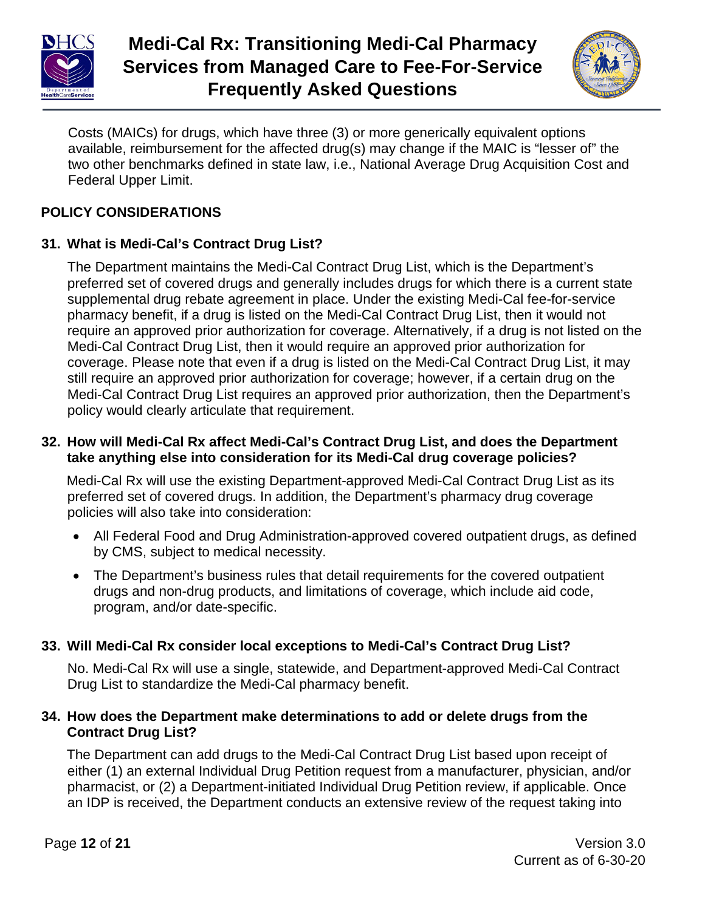



Costs (MAICs) for drugs, which have three (3) or more generically equivalent options available, reimbursement for the affected drug(s) may change if the MAIC is "lesser of" the two other benchmarks defined in state law, i.e., National Average Drug Acquisition Cost and Federal Upper Limit.

# **POLICY CONSIDERATIONS**

# **31. What is Medi-Cal's Contract Drug List?**

The Department maintains the Medi-Cal Contract Drug List, which is the Department's preferred set of covered drugs and generally includes drugs for which there is a current state supplemental drug rebate agreement in place. Under the existing Medi-Cal fee-for-service pharmacy benefit, if a drug is listed on the Medi-Cal Contract Drug List, then it would not require an approved prior authorization for coverage. Alternatively, if a drug is not listed on the Medi-Cal Contract Drug List, then it would require an approved prior authorization for coverage. Please note that even if a drug is listed on the Medi-Cal Contract Drug List, it may still require an approved prior authorization for coverage; however, if a certain drug on the Medi-Cal Contract Drug List requires an approved prior authorization, then the Department's policy would clearly articulate that requirement.

#### **32. How will Medi-Cal Rx affect Medi-Cal's Contract Drug List, and does the Department take anything else into consideration for its Medi-Cal drug coverage policies?**

Medi-Cal Rx will use the existing Department-approved Medi-Cal Contract Drug List as its preferred set of covered drugs. In addition, the Department's pharmacy drug coverage policies will also take into consideration:

- All Federal Food and Drug Administration-approved covered outpatient drugs, as defined by CMS, subject to medical necessity.
- The Department's business rules that detail requirements for the covered outpatient drugs and non-drug products, and limitations of coverage, which include aid code, program, and/or date-specific.

# **33. Will Medi-Cal Rx consider local exceptions to Medi-Cal's Contract Drug List?**

No. Medi-Cal Rx will use a single, statewide, and Department-approved Medi-Cal Contract Drug List to standardize the Medi-Cal pharmacy benefit.

#### **34. How does the Department make determinations to add or delete drugs from the Contract Drug List?**

The Department can add drugs to the Medi-Cal Contract Drug List based upon receipt of either (1) an external Individual Drug Petition request from a manufacturer, physician, and/or pharmacist, or (2) a Department-initiated Individual Drug Petition review, if applicable. Once an IDP is received, the Department conducts an extensive review of the request taking into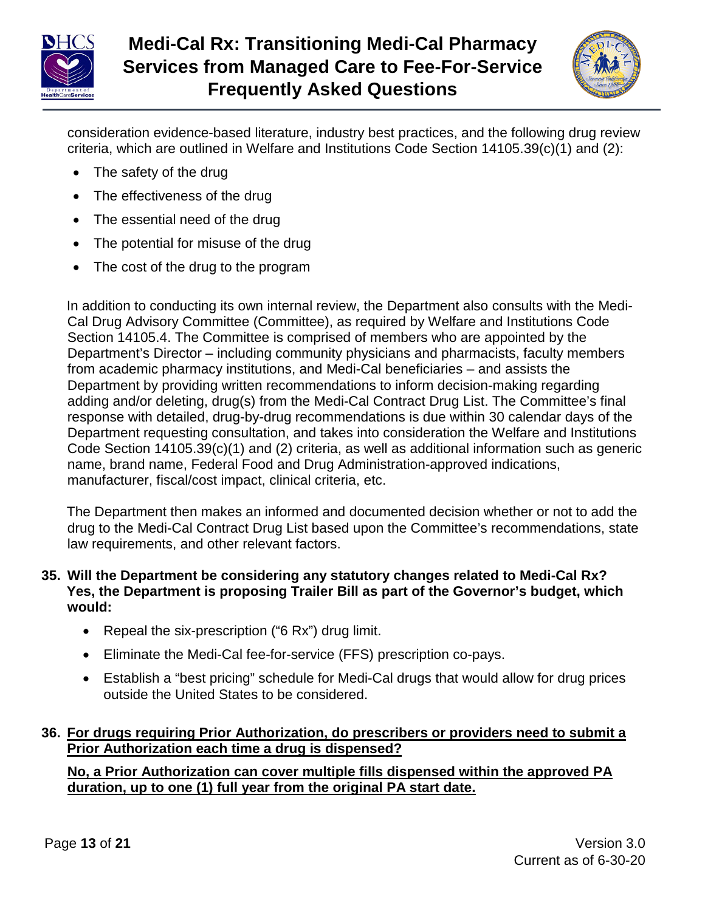



consideration evidence-based literature, industry best practices, and the following drug review criteria, which are outlined in Welfare and Institutions Code Section 14105.39(c)(1) and (2):

- The safety of the drug
- The effectiveness of the drug
- The essential need of the drug
- The potential for misuse of the drug
- The cost of the drug to the program

In addition to conducting its own internal review, the Department also consults with the Medi-Cal Drug Advisory Committee (Committee), as required by Welfare and Institutions Code Section 14105.4. The Committee is comprised of members who are appointed by the Department's Director – including community physicians and pharmacists, faculty members from academic pharmacy institutions, and Medi-Cal beneficiaries – and assists the Department by providing written recommendations to inform decision-making regarding adding and/or deleting, drug(s) from the Medi-Cal Contract Drug List. The Committee's final response with detailed, drug-by-drug recommendations is due within 30 calendar days of the Department requesting consultation, and takes into consideration the Welfare and Institutions Code Section 14105.39(c)(1) and (2) criteria, as well as additional information such as generic name, brand name, Federal Food and Drug Administration-approved indications, manufacturer, fiscal/cost impact, clinical criteria, etc.

The Department then makes an informed and documented decision whether or not to add the drug to the Medi-Cal Contract Drug List based upon the Committee's recommendations, state law requirements, and other relevant factors.

#### **35. Will the Department be considering any statutory changes related to Medi-Cal Rx?** Yes, the Department is proposing Trailer Bill as part of the Governor's budget, which **would:**

- Repeal the six-prescription ("6 Rx") drug limit.
- Eliminate the Medi-Cal fee-for-service (FFS) prescription co-pays.
- Establish a "best pricing" schedule for Medi-Cal drugs that would allow for drug prices outside the United States to be considered.

# **36. For drugs requiring Prior Authorization, do prescribers or providers need to submit a Prior Authorization each time a drug is dispensed?**

No, a Prior Authorization can cover multiple fills dispensed within the approved PA duration, up to one (1) full year from the original PA start date.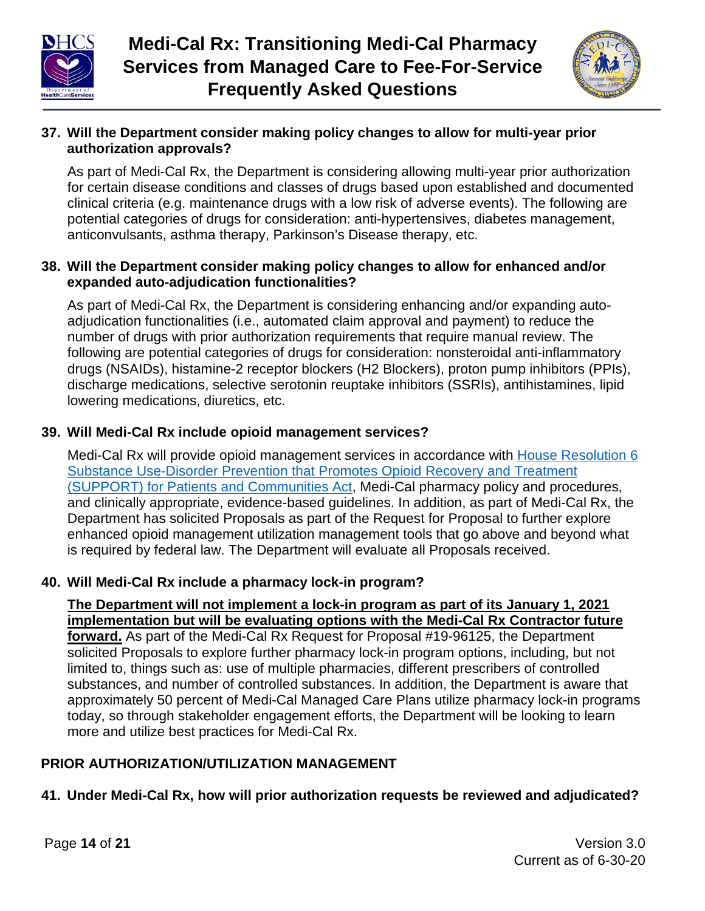



## **37. Will the Department consider making policy changes to allow for multi-year prior authorization approvals?**

As part of Medi-Cal Rx, the Department is considering allowing multi-year prior authorization for certain disease conditions and classes of drugs based upon established and documented clinical criteria (e.g. maintenance drugs with a low risk of adverse events). The following are potential categories of drugs for consideration: anti-hypertensives, diabetes management, anticonvulsants, asthma therapy, Parkinson's Disease therapy, etc.

#### **38. Will the Department consider making policy changes to allow for enhanced and/or expanded auto-adjudication functionalities?**

As part of Medi-Cal Rx, the Department is considering enhancing and/or expanding autoadjudication functionalities (i.e., automated claim approval and payment) to reduce the number of drugs with prior authorization requirements that require manual review. The following are potential categories of drugs for consideration: nonsteroidal anti-inflammatory drugs (NSAIDs), histamine-2 receptor blockers (H2 Blockers), proton pump inhibitors (PPIs), discharge medications, selective serotonin reuptake inhibitors (SSRIs), antihistamines, lipid lowering medications, diuretics, etc.

# **39. Will Medi-Cal Rx include opioid management services?**

Medi-Cal Rx will provide opioid management services in accordance with House Resolution 6 Substance [Use-Disorder Prevention that Promotes Opioid Recovery and Treatment](https://www.congress.gov/bill/115th-congress/house-bill/6) (SUPPORT) [for Patients and Communities](https://www.congress.gov/bill/115th-congress/house-bill/6) Act, Medi-Cal pharmacy policy and procedures, and clinically appropriate, evidence-based guidelines. In addition, as part of Medi-Cal Rx, the Department has solicited Proposals as part of the Request for Proposal to further explore enhanced opioid management utilization management tools that go above and beyond what is required by federal law. The Department will evaluate all Proposals received.

## **40. Will Medi-Cal Rx include a pharmacy lock-in program?**

<u>The Department will not implement a lock-in program as part of its January 1, 2021</u> implementation but will be evaluating options with the Medi-Cal Rx Contractor future <u>f**orward.**</u> As part of the Medi-Cal Rx Request for Proposal #19-96125, the Department solicited Proposals to explore further pharmacy lock-in program options, including, but not limited to, things such as: use of multiple pharmacies, different prescribers of controlled immed to, trings such as, use of multiple pharmacies, unferent prescribers of controlled<br>substances, and number of controlled substances. In addition, the Department is aware that substances, and namber of controlled substances. In addition, the Department is aware that approximately 50 percent of Medi-Cal Managed Care Plans utilize pharmacy lock-in programs approximately so persont of modified managed safe I rand differentially foot in progress.<br>today, so through stakeholder engagement efforts, the Department will be looking to learn to any, so an eagle statements engagement energy, are  $20<sub>1</sub>$  more and utilize best practices for Medi-Cal Rx.

# **PRIOR AUTHORIZATION/UTILIZATION MANAGEMENT**

# **41. Under Medi-Cal Rx, how will prior authorization requests be reviewed and adjudicated?**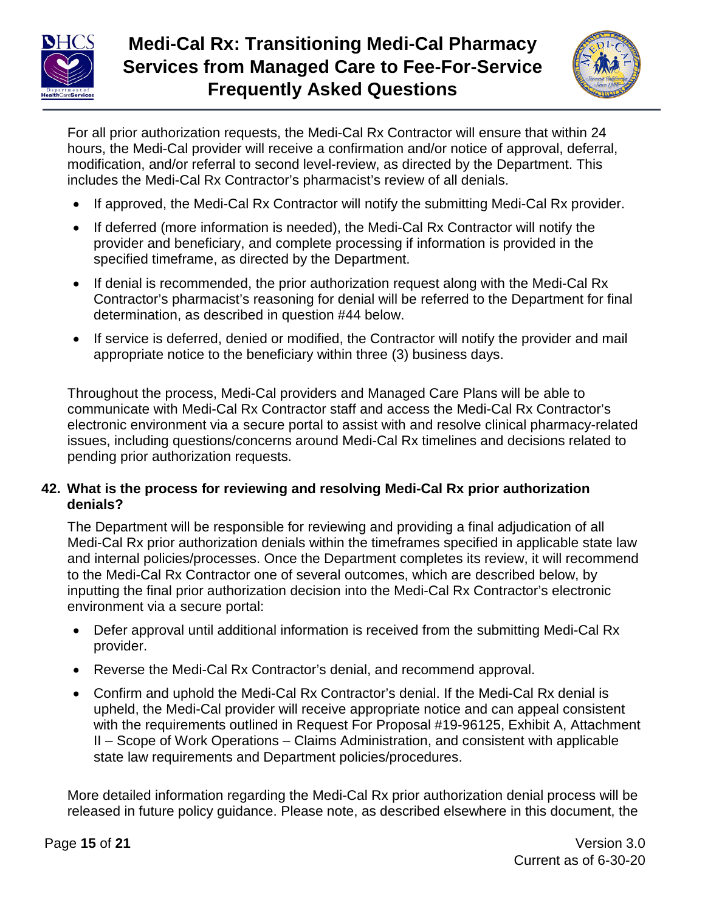

# **Medi-Cal Rx: Transitioning Medi-Cal Pharmacy Services from Managed Care to Fee-For-Service Frequently Asked Questions**



For all prior authorization requests, the Medi-Cal Rx Contractor will ensure that within 24 hours, the Medi-Cal provider will receive a confirmation and/or notice of approval, deferral, modification, and/or referral to second level-review, as directed by the Department. This includes the Medi-Cal Rx Contractor's pharmacist's review of all denials.

- If approved, the Medi-Cal Rx Contractor will notify the submitting Medi-Cal Rx provider.
- If deferred (more information is needed), the Medi-Cal Rx Contractor will notify the provider and beneficiary, and complete processing if information is provided in the specified timeframe, as directed by the Department.
- If denial is recommended, the prior authorization request along with the Medi-Cal Rx Contractor's pharmacist's reasoning for denial will be referred to the Department for final determination, as described in question #44 below.
- If service is deferred, denied or modified, the Contractor will notify the provider and mail appropriate notice to the beneficiary within three (3) business days.

Throughout the process, Medi-Cal providers and Managed Care Plans will be able to communicate with Medi-Cal Rx Contractor staff and access the Medi-Cal Rx Contractor's electronic environment via a secure portal to assist with and resolve clinical pharmacy-related issues, including questions/concerns around Medi-Cal Rx timelines and decisions related to pending prior authorization requests.

## **42. What is the process for reviewing and resolving Medi-Cal Rx prior authorization denials?**

The Department will be responsible for reviewing and providing a final adjudication of all Medi-Cal Rx prior authorization denials within the timeframes specified in applicable state law and internal policies/processes. Once the Department completes its review, it will recommend to the Medi-Cal Rx Contractor one of several outcomes, which are described below, by inputting the final prior authorization decision into the Medi-Cal Rx Contractor's electronic environment via a secure portal:

- Defer approval until additional information is received from the submitting Medi-Cal Rx provider.
- Reverse the Medi-Cal Rx Contractor's denial, and recommend approval.
- Confirm and uphold the Medi-Cal Rx Contractor's denial. If the Medi-Cal Rx denial is upheld, the Medi-Cal provider will receive appropriate notice and can appeal consistent with the requirements outlined in Request For Proposal #19-96125, Exhibit A, Attachment II – Scope of Work Operations – Claims Administration, and consistent with applicable state law requirements and Department policies/procedures.

More detailed information regarding the Medi-Cal Rx prior authorization denial process will be released in future policy guidance. Please note, as described elsewhere in this document, the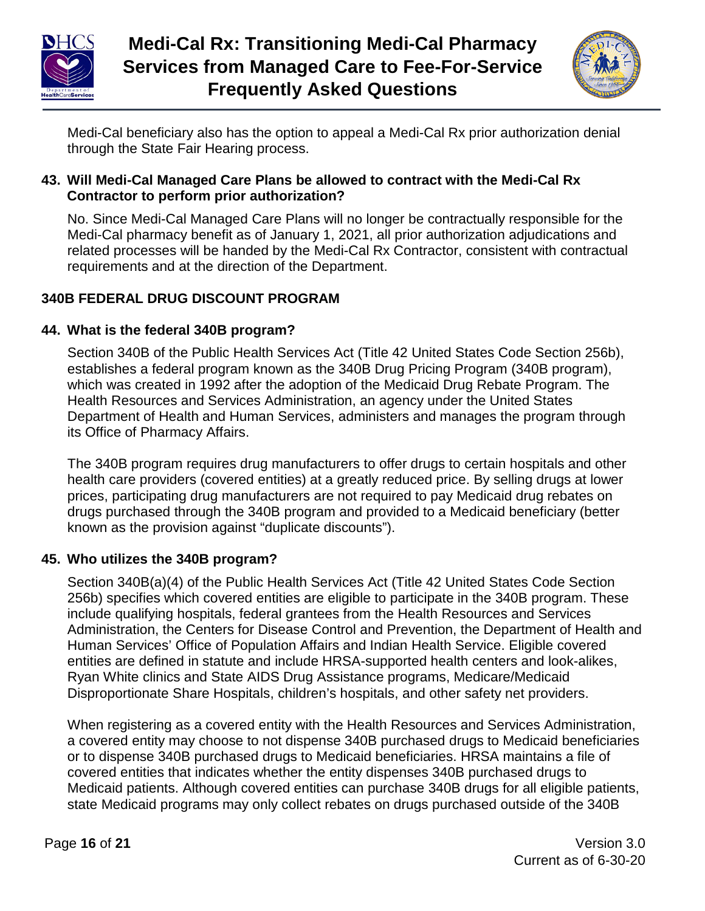



Medi-Cal beneficiary also has the option to appeal a Medi-Cal Rx prior authorization denial through the State Fair Hearing process.

## **43. Will Medi-Cal Managed Care Plans be allowed to contract with the Medi-Cal Rx Contractor to perform prior authorization?**

No. Since Medi-Cal Managed Care Plans will no longer be contractually responsible for the Medi-Cal pharmacy benefit as of January 1, 2021, all prior authorization adjudications and related processes will be handed by the Medi-Cal Rx Contractor, consistent with contractual requirements and at the direction of the Department.

# **340B FEDERAL DRUG DISCOUNT PROGRAM**

## **44. What is the federal 340B program?**

Section 340B of the Public Health Services Act (Title 42 United States Code Section 256b), establishes a federal program known as the 340B Drug Pricing Program (340B program), which was created in 1992 after the adoption of the Medicaid Drug Rebate Program. The Health Resources and Services Administration, an agency under the United States Department of Health and Human Services, administers and manages the program through its Office of Pharmacy Affairs.

The 340B program requires drug manufacturers to offer drugs to certain hospitals and other health care providers (covered entities) at a greatly reduced price. By selling drugs at lower prices, participating drug manufacturers are not required to pay Medicaid drug rebates on drugs purchased through the 340B program and provided to a Medicaid beneficiary (better known as the provision against "duplicate discounts").

## **45. Who utilizes the 340B program?**

Section 340B(a)(4) of the Public Health Services Act (Title 42 United States Code Section 256b) specifies which covered entities are eligible to participate in the 340B program. These include qualifying hospitals, federal grantees from the Health Resources and Services Administration, the Centers for Disease Control and Prevention, the Department of Health and Human Services' Office of Population Affairs and Indian Health Service. Eligible covered entities are defined in statute and include HRSA-supported health centers and look-alikes, Ryan White clinics and State AIDS Drug Assistance programs, Medicare/Medicaid Disproportionate Share Hospitals, children's hospitals, and other safety net providers.

When registering as a covered entity with the Health Resources and Services Administration, a covered entity may choose to not dispense 340B purchased drugs to Medicaid beneficiaries or to dispense 340B purchased drugs to Medicaid beneficiaries. HRSA maintains a file of covered entities that indicates whether the entity dispenses 340B purchased drugs to Medicaid patients. Although covered entities can purchase 340B drugs for all eligible patients, state Medicaid programs may only collect rebates on drugs purchased outside of the 340B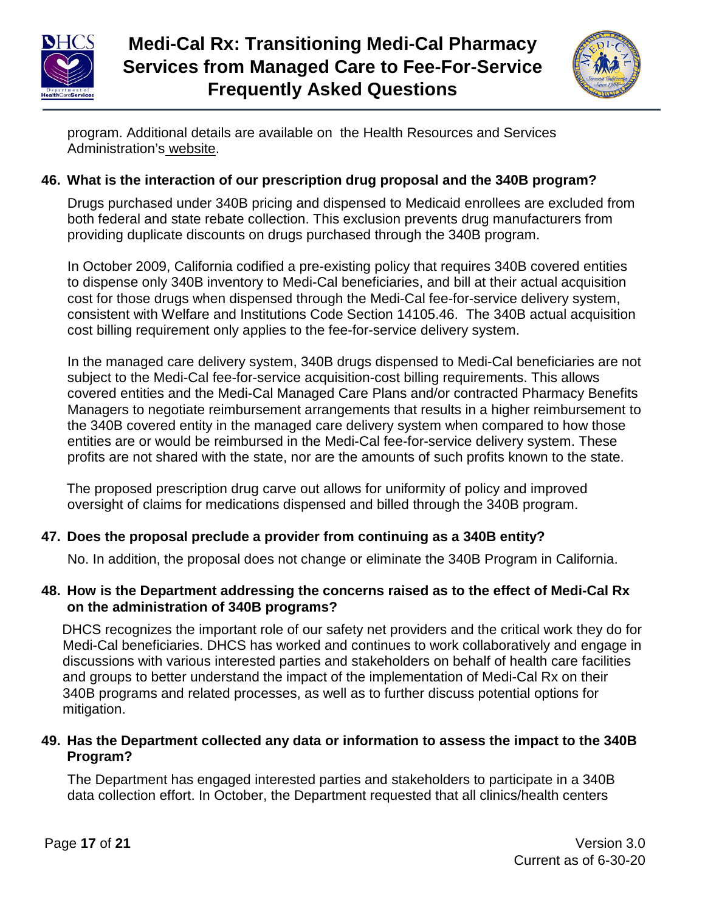



program. Additional details are available on the Health Resources and Services Administration's website.

## **46. What is the interaction of our prescription drug proposal and the 340B program?**

Drugs purchased under 340B pricing and dispensed to Medicaid enrollees are excluded from both federal and state rebate collection. This exclusion prevents drug manufacturers from providing duplicate discounts on drugs purchased through the 340B program.

In October 2009, California codified a pre-existing policy that requires 340B covered entities to dispense only 340B inventory to Medi-Cal beneficiaries, and bill at their actual acquisition cost for those drugs when dispensed through the Medi-Cal fee-for-service delivery system, consistent with Welfare and Institutions Code Section 14105.46. The 340B actual acquisition cost billing requirement only applies to the fee-for-service delivery system.

In the managed care delivery system, 340B drugs dispensed to Medi-Cal beneficiaries are not subject to the Medi-Cal fee-for-service acquisition-cost billing requirements. This allows covered entities and the Medi-Cal Managed Care Plans and/or contracted Pharmacy Benefits Managers to negotiate reimbursement arrangements that results in a higher reimbursement to the 340B covered entity in the managed care delivery system when compared to how those entities are or would be reimbursed in the Medi-Cal fee-for-service delivery system. These profits are not shared with the state, nor are the amounts of such profits known to the state.

The proposed prescription drug carve out allows for uniformity of policy and improved oversight of claims for medications dispensed and billed through the 340B program.

# **47. Does the proposal preclude a provider from continuing as a 340B entity?**

No. In addition, the proposal does not change or eliminate the 340B Program in California.

#### **48. How is the Department addressing the concerns raised as to the effect of Medi-Cal Rx on the administration of 340B programs?**

DHCS recognizes the important role of our safety net providers and the critical work they do for Medi-Cal beneficiaries. DHCS has worked and continues to work collaboratively and engage in discussions with various interested parties and stakeholders on behalf of health care facilities and groups to better understand the impact of the implementation of Medi-Cal Rx on their 340B programs and related processes, as well as to further discuss potential options for mitigation.

## **49. Has the Department collected any data or information to assess the impact to the 340B Program?**

The Department has engaged interested parties and stakeholders to participate in a 340B data collection effort. In October, the Department requested that all clinics/health centers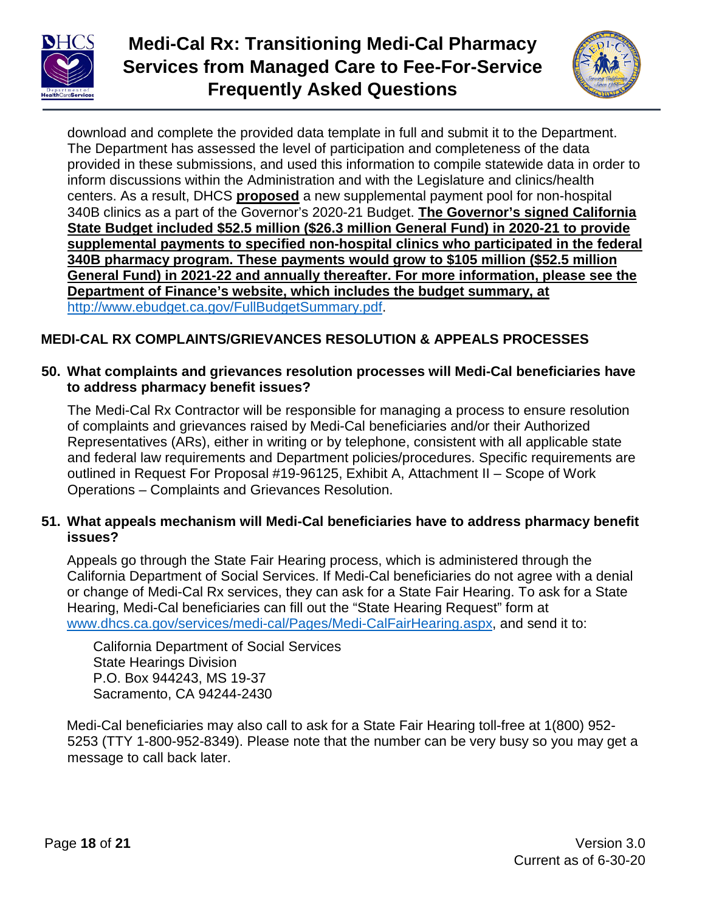

# **Medi-Cal Rx: Transitioning Medi-Cal Pharmacy Services from Managed Care to Fee-For-Service Frequently Asked Questions**



download and complete the provided data template in full and submit it to the Department. The Department has assessed the level of participation and completeness of the data provided in these submissions, and used this information to compile statewide data in order to inform discussions within the Administration and with the Legislature and clinics/health centers. As a result, DHCS **proposed** a new supplemental payment pool for non-hospital 340B clinics as a part of the Governor's 2020-21 Budget. The Governor's signed California State Budget included \$52.5 million (\$26.3 million General Fund) in 2020-21 to provide supplemental payments to specified non-hospital clinics who participated in the federal<br>
program in the federal **340B pharmacy program. These payments would grow to \$105 million (\$52.5 million) General Fund) in 2021-22 and annually thereafter. For more information, please see the Department of Finance's website, which includes the budget summary, at Department of Finance's website, which includes the budget summary, at** [http://www.ebudget.ca.gov/FullBudgetSummary.pdf.](https://gcc01.safelinks.protection.outlook.com/?url=http%3A%2F%2Fwww.ebudget.ca.gov%2FFullBudgetSummary.pdf&data=02%7C01%7CLisa.Dahlquist%40dhcs.ca.gov%7Cf95a3ff5c28b4d096c0708d81d2bfe7c%7C265c2dcd2a6e43aab2e826421a8c8526%7C0%7C0%7C637291422070539035&sdata=pVJw7ADgteh2c2zlRLGDZcUyycROrYEQdzi1L9N7w3E%3D&reserved=0)

# **MEDI-CAL RX COMPLAINTS/GRIEVANCES RESOLUTION & APPEALS PROCESSES**

#### **50. What complaints and grievances resolution processes will Medi-Cal beneficiaries have to address pharmacy benefit issues?**

The Medi-Cal Rx Contractor will be responsible for managing a process to ensure resolution of complaints and grievances raised by Medi-Cal beneficiaries and/or their Authorized Representatives (ARs), either in writing or by telephone, consistent with all applicable state and federal law requirements and Department policies/procedures. Specific requirements are outlined in Request For Proposal #19-96125, Exhibit A, Attachment II – Scope of Work Operations – Complaints and Grievances Resolution.

#### **51. What appeals mechanism will Medi-Cal beneficiaries have to address pharmacy benefit issues?**

Appeals go through the State Fair Hearing process, which is administered through the California Department of Social Services. If Medi-Cal beneficiaries do not agree with a denial or change of Medi-Cal Rx services, they can ask for a State Fair Hearing. To ask for a State Hearing, Medi-Cal beneficiaries can fill out the "State Hearing Request" form at [www.dhcs.ca.gov/services/medi-cal/Pages/Medi-CalFairHearing.aspx,](http://www.dhcs.ca.gov/services/medi-cal/Pages/Medi-CalFairHearing.aspx) and send it to:

California Department of Social Services State Hearings Division P.O. Box 944243, MS 19-37 Sacramento, CA 94244-2430

Medi-Cal beneficiaries may also call to ask for a State Fair Hearing toll-free at 1(800) 952- 5253 (TTY 1-800-952-8349). Please note that the number can be very busy so you may get a message to call back later.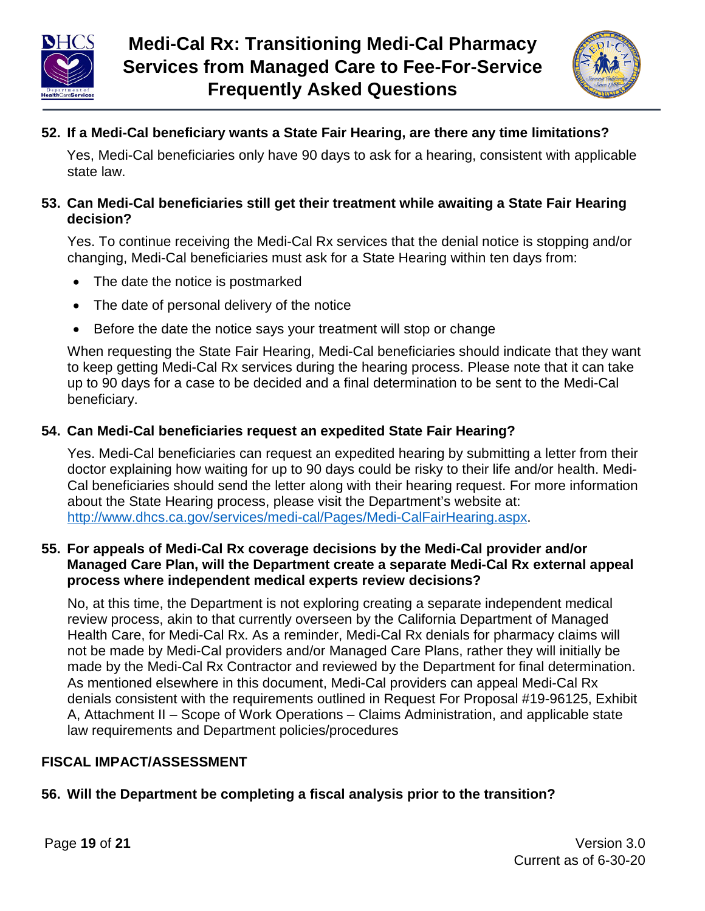



## **52. If a Medi-Cal beneficiary wants a State Fair Hearing, are there any time limitations?**

Yes, Medi-Cal beneficiaries only have 90 days to ask for a hearing, consistent with applicable state law.

#### **53. Can Medi-Cal beneficiaries still get their treatment while awaiting a State Fair Hearing decision?**

Yes. To continue receiving the Medi-Cal Rx services that the denial notice is stopping and/or changing, Medi-Cal beneficiaries must ask for a State Hearing within ten days from:

- The date the notice is postmarked
- The date of personal delivery of the notice
- Before the date the notice says your treatment will stop or change

When requesting the State Fair Hearing, Medi-Cal beneficiaries should indicate that they want to keep getting Medi-Cal Rx services during the hearing process. Please note that it can take up to 90 days for a case to be decided and a final determination to be sent to the Medi-Cal beneficiary.

#### **54. Can Medi-Cal beneficiaries request an expedited State Fair Hearing?**

Yes. Medi-Cal beneficiaries can request an expedited hearing by submitting a letter from their doctor explaining how waiting for up to 90 days could be risky to their life and/or health. Medi-Cal beneficiaries should send the letter along with their hearing request. For more information about the State Hearing process, please visit the Department's website at: [http://www.dhcs.ca.gov/services/medi-cal/Pages/Medi-CalFairHearing.aspx.](http://www.dhcs.ca.gov/services/medi-cal/Pages/Medi-CalFairHearing.aspx)

#### **55. For appeals of Medi-Cal Rx coverage decisions by the Medi-Cal provider and/or Managed Care Plan, will the Department create a separate Medi-Cal Rx external appeal process where independent medical experts review decisions?**

No, at this time, the Department is not exploring creating a separate independent medical review process, akin to that currently overseen by the California Department of Managed Health Care, for Medi-Cal Rx. As a reminder, Medi-Cal Rx denials for pharmacy claims will not be made by Medi-Cal providers and/or Managed Care Plans, rather they will initially be made by the Medi-Cal Rx Contractor and reviewed by the Department for final determination. As mentioned elsewhere in this document, Medi-Cal providers can appeal Medi-Cal Rx denials consistent with the requirements outlined in Request For Proposal #19-96125, Exhibit A, Attachment II – Scope of Work Operations – Claims Administration, and applicable state law requirements and Department policies/procedures

## **FISCAL IMPACT/ASSESSMENT**

## **56. Will the Department be completing a fiscal analysis prior to the transition?**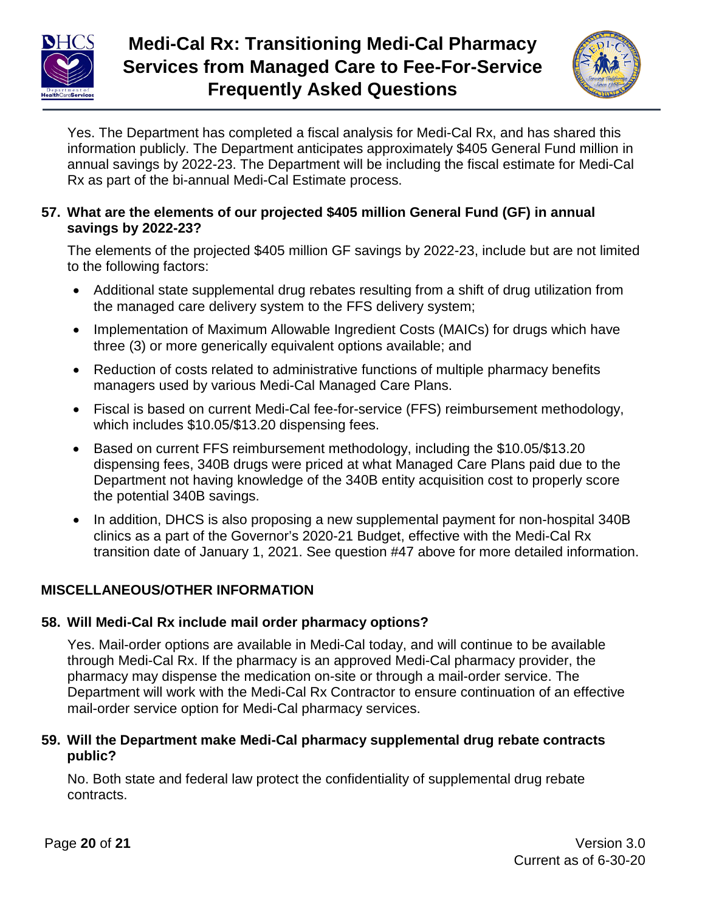



Yes. The Department has completed a fiscal analysis for Medi-Cal Rx, and has shared this information publicly. The Department anticipates approximately \$405 General Fund million in annual savings by 2022-23. The Department will be including the fiscal estimate for Medi-Cal Rx as part of the bi-annual Medi-Cal Estimate process.

## **57. What are the elements of our projected \$405 million General Fund (GF) in annual savings by 2022-23?**

The elements of the projected \$405 million GF savings by 2022-23, include but are not limited to the following factors:

- Additional state supplemental drug rebates resulting from a shift of drug utilization from the managed care delivery system to the FFS delivery system;
- Implementation of Maximum Allowable Ingredient Costs (MAICs) for drugs which have three (3) or more generically equivalent options available; and
- Reduction of costs related to administrative functions of multiple pharmacy benefits managers used by various Medi-Cal Managed Care Plans.
- Fiscal is based on current Medi-Cal fee-for-service (FFS) reimbursement methodology, which includes \$10.05/\$13.20 dispensing fees.
- Based on current FFS reimbursement methodology, including the \$10.05/\$13.20 dispensing fees, 340B drugs were priced at what Managed Care Plans paid due to the Department not having knowledge of the 340B entity acquisition cost to properly score the potential 340B savings.
- In addition, DHCS is also proposing a new supplemental payment for non-hospital 340B clinics as a part of the Governor's 2020-21 Budget, effective with the Medi-Cal Rx transition date of January 1, 2021. See question #47 above for more detailed information.

# **MISCELLANEOUS/OTHER INFORMATION**

# **58. Will Medi-Cal Rx include mail order pharmacy options?**

Yes. Mail-order options are available in Medi-Cal today, and will continue to be available through Medi-Cal Rx. If the pharmacy is an approved Medi-Cal pharmacy provider, the pharmacy may dispense the medication on-site or through a mail-order service. The Department will work with the Medi-Cal Rx Contractor to ensure continuation of an effective mail-order service option for Medi-Cal pharmacy services.

## **59. Will the Department make Medi-Cal pharmacy supplemental drug rebate contracts public?**

No. Both state and federal law protect the confidentiality of supplemental drug rebate contracts.